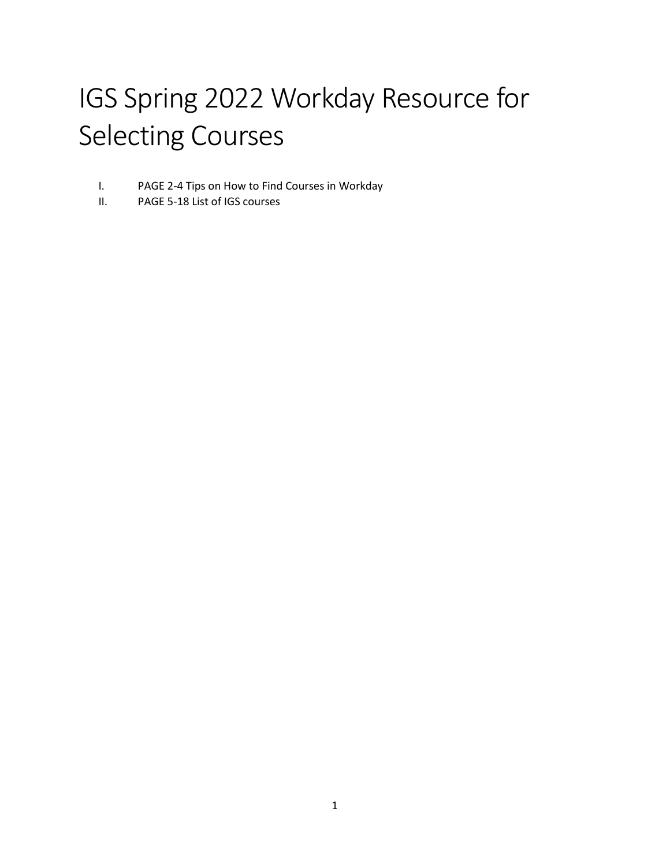# IGS Spring 2022 Workday Resource for Selecting Courses

- I. PAGE 2-4 Tips on How to Find Courses in Workday
- II. PAGE 5-18 List of IGS courses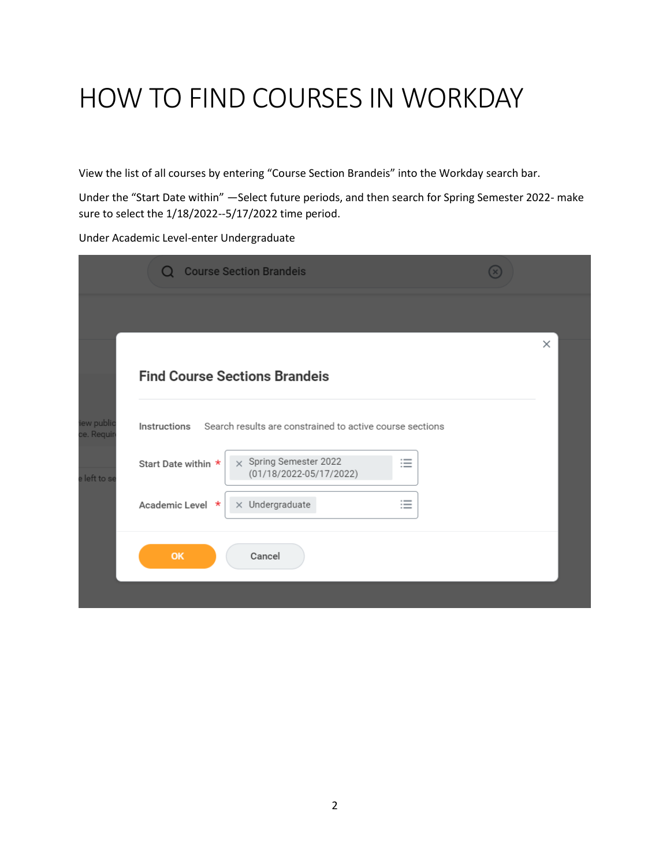# HOW TO FIND COURSES IN WORKDAY

View the list of all courses by entering "Course Section Brandeis" into the Workday search bar.

Under the "Start Date within" —Select future periods, and then search for Spring Semester 2022- make sure to select the 1/18/2022--5/17/2022 time period.

Under Academic Level-enter Undergraduate

|                                       | <b>Course Section Brandeis</b><br>O                                                  |   |
|---------------------------------------|--------------------------------------------------------------------------------------|---|
|                                       |                                                                                      |   |
|                                       | <b>Find Course Sections Brandeis</b>                                                 | × |
| iew publi <mark>c</mark><br>ce. Requi | Search results are constrained to active course sections<br>Instructions             |   |
| e left to se                          | $\times$ Spring Semester 2022<br>這<br>Start Date within *<br>(01/18/2022-05/17/2022) |   |
|                                       | $\overline{\phantom{a}}$<br>$\times$ Undergraduate<br>Academic Level *<br>$:=$       |   |
|                                       | OK<br>Cancel                                                                         |   |
|                                       |                                                                                      |   |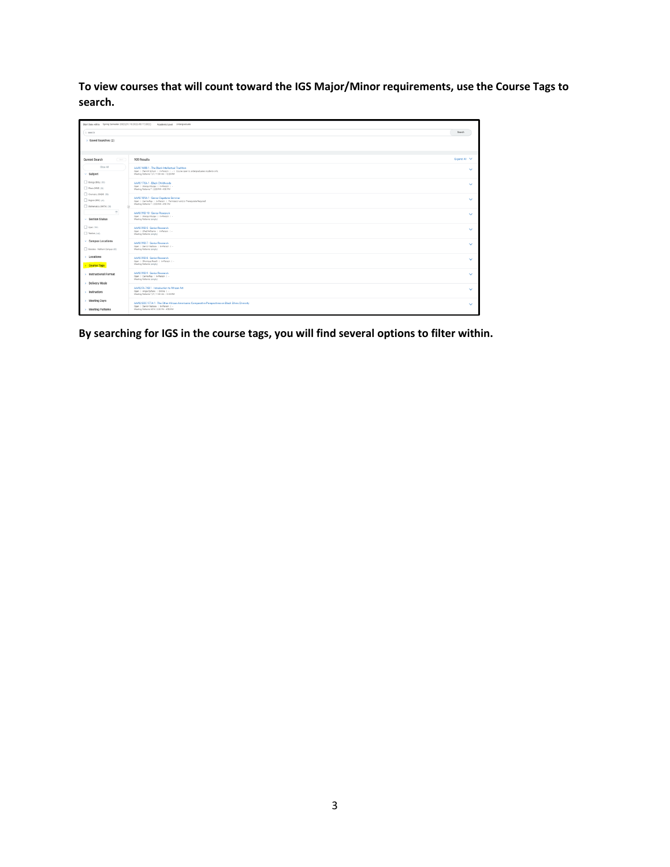**To view courses that will count toward the IGS Major/Minor requirements, use the Course Tags to search.** 

| Start Date within Spring Semester 2022 (01/18/2022-05/17/2022) Academic Level Undergraduate |                                                                                                                                                                                        |              |  |
|---------------------------------------------------------------------------------------------|----------------------------------------------------------------------------------------------------------------------------------------------------------------------------------------|--------------|--|
| C search                                                                                    |                                                                                                                                                                                        | Search       |  |
| > Saved Searches (2)                                                                        |                                                                                                                                                                                        |              |  |
| Current Search<br>$\overline{ }$                                                            | 939 Results                                                                                                                                                                            | Expand All V |  |
| Clear All<br>$~\vee~$ Subject                                                               | AAAS 1688-1 - The Black Intellectual Tradition<br>Open   Patrick Schuin   In-Person   -   Course coen to undergraduates students only.<br>Meeting Patterns T/F   11:00 AM - 12:20 PM   | $\checkmark$ |  |
| $\Box$ Bology (BOL) (E3)<br>Nest MUSICA                                                     | AAAS 170A-1 - Black Childhoods<br>Open   Wangui Mulgai   In-Person   -<br>Meeting Patterns T   2:00 PM - 4:50 PM                                                                       | $\checkmark$ |  |
| O chemisms (DHBM) (SE)<br>El English-IEND (21)<br>Nathematics (MATH) (20)                   | AAAS 189A-1 - Senior Capatone Seminar<br>Open   Carina Ray   In-Person   Permission and/or Prerequisite Required<br>Meeting Patterns T   2:00 PM - 4:50 PM                             | $\checkmark$ |  |
| $\sim$<br>- Section Status                                                                  | AAAS 99D-10 - Senior Research<br>Open   Wangui Mulgai   In-Person   -<br>Meeting Patterns (empts)                                                                                      | $\checkmark$ |  |
| $\Box$ Open (797)<br><b>T Walter (SAI)</b>                                                  | AAAS 99D-5 - Senior Research<br>Open   Chad Williams   In-Person   -<br>Meeting Patterna (empty)                                                                                       | $\checkmark$ |  |
| $\sim$ Campus Locations<br>Brandels - Maltham Campus (82)                                   | AAAS 99D-7 - Senior Research<br>Open   Derror Wallace   In-Person   -<br>Meeting Patterns (empts)                                                                                      | $\checkmark$ |  |
| > Locations<br>Course Tags                                                                  | AAAS 99D-8 - Senior Research<br>Open   Shoniqua Roach   In-Person   -<br>Meeting Patterns (arrota)                                                                                     | $\checkmark$ |  |
| > Instructional Format<br>> Delivery Mode                                                   | AAAS 990-9 - Senior Research<br>Open 1 Carina Ray 1 In-Parson 1 -<br>Meeting Patterns (empts)                                                                                          | $\checkmark$ |  |
| > Instructors                                                                               | AAAS/FA 748-1 - Introduction to African Art<br>Open   Angie Epifano   Online   -<br>Meeting Patterns T/F   11:00 AM - 12:20 PM                                                         | $\checkmark$ |  |
| > Meeting Days<br>> Meeting Patterns                                                        | AAAS/SOC 177A-1 - The Other African Americans: Comparative Perspectives on Black Ethnic Diversity<br>Open   Derron Wallace   In-Person   -<br>Meeting Patterns M/W   2:30 PM - 4:50 PM | $\sim$       |  |

**By searching for IGS in the course tags, you will find several options to filter within.**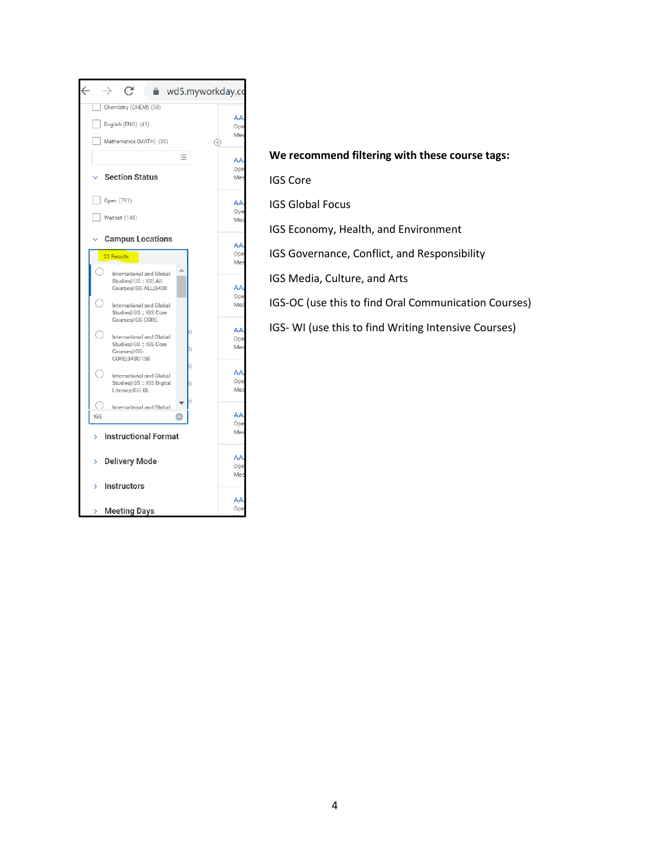

# **We recommend filtering with these course tags:**

IGS Core

IGS Global Focus

IGS Economy, Health, and Environment

IGS Governance, Conflict, and Responsibility

IGS Media, Culture, and Arts

IGS-OC (use this to find Oral Communication Courses)

IGS- WI (use this to find Writing Intensive Courses)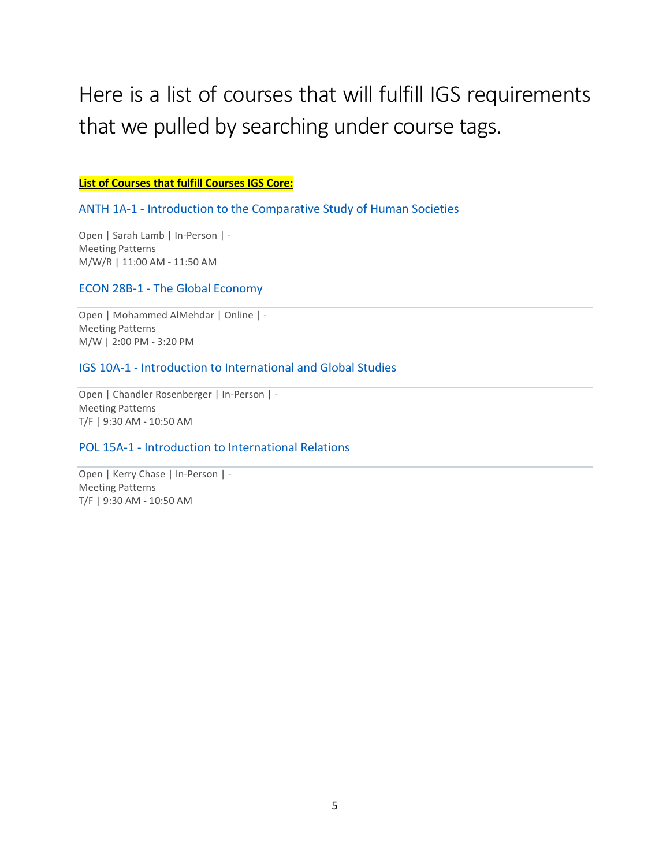# Here is a list of courses that will fulfill IGS requirements that we pulled by searching under course tags.

## **List of Courses that fulfill Courses IGS Core:**

# ANTH 1A-1 - Introduction to the Comparative Study of Human Societies

Open | Sarah Lamb | In-Person | - Meeting Patterns M/W/R | 11:00 AM - 11:50 AM

# ECON 28B-1 - The Global Economy

Open | Mohammed AlMehdar | Online | - Meeting Patterns M/W | 2:00 PM - 3:20 PM

# IGS 10A-1 - Introduction to International and Global Studies

Open | Chandler Rosenberger | In-Person | - Meeting Patterns T/F | 9:30 AM - 10:50 AM

# POL 15A-1 - Introduction to International Relations

Open | Kerry Chase | In-Person | - Meeting Patterns T/F | 9:30 AM - 10:50 AM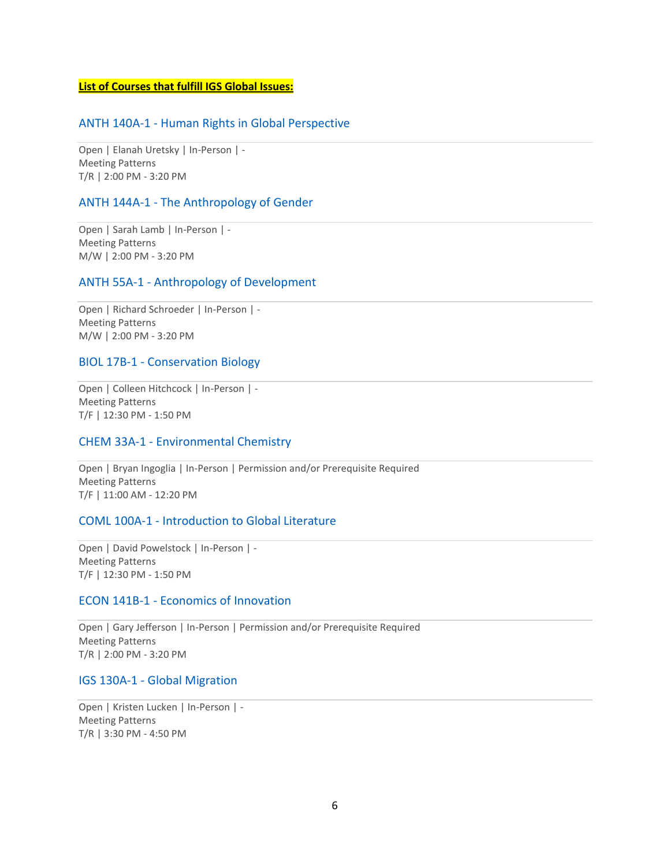## **List of Courses that fulfill IGS Global Issues:**

## ANTH 140A-1 - Human Rights in Global Perspective

Open | Elanah Uretsky | In-Person | - Meeting Patterns T/R | 2:00 PM - 3:20 PM

## ANTH 144A-1 - The Anthropology of Gender

Open | Sarah Lamb | In-Person | - Meeting Patterns M/W | 2:00 PM - 3:20 PM

## ANTH 55A-1 - Anthropology of Development

Open | Richard Schroeder | In-Person | - Meeting Patterns M/W | 2:00 PM - 3:20 PM

## BIOL 17B-1 - Conservation Biology

Open | Colleen Hitchcock | In-Person | - Meeting Patterns T/F | 12:30 PM - 1:50 PM

## CHEM 33A-1 - Environmental Chemistry

Open | Bryan Ingoglia | In-Person | Permission and/or Prerequisite Required Meeting Patterns T/F | 11:00 AM - 12:20 PM

## COML 100A-1 - Introduction to Global Literature

Open | David Powelstock | In-Person | - Meeting Patterns T/F | 12:30 PM - 1:50 PM

#### ECON 141B-1 - Economics of Innovation

Open | Gary Jefferson | In-Person | Permission and/or Prerequisite Required Meeting Patterns T/R | 2:00 PM - 3:20 PM

## IGS 130A-1 - Global Migration

Open | Kristen Lucken | In-Person | - Meeting Patterns T/R | 3:30 PM - 4:50 PM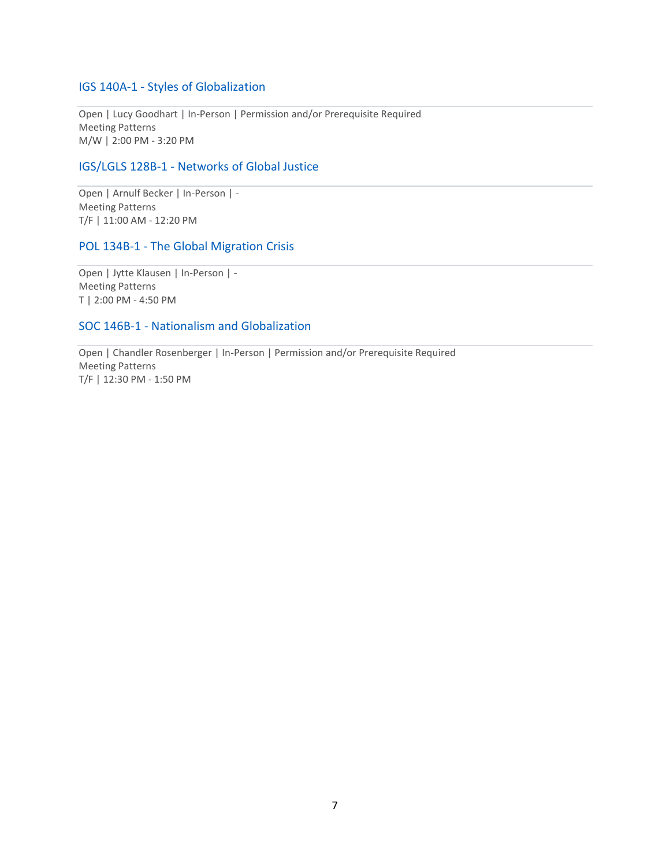# IGS 140A-1 - Styles of Globalization

Open | Lucy Goodhart | In-Person | Permission and/or Prerequisite Required Meeting Patterns M/W | 2:00 PM - 3:20 PM

# IGS/LGLS 128B-1 - Networks of Global Justice

Open | Arnulf Becker | In-Person | - Meeting Patterns T/F | 11:00 AM - 12:20 PM

## POL 134B-1 - The Global Migration Crisis

Open | Jytte Klausen | In-Person | - Meeting Patterns T | 2:00 PM - 4:50 PM

# SOC 146B-1 - Nationalism and Globalization

Open | Chandler Rosenberger | In-Person | Permission and/or Prerequisite Required Meeting Patterns T/F | 12:30 PM - 1:50 PM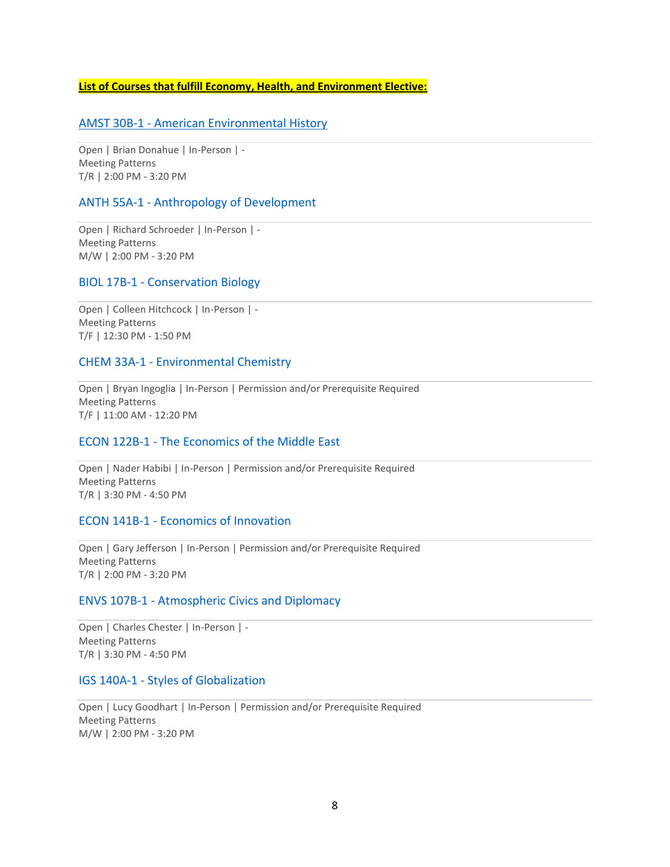## **List of Courses that fulfill Economy, Health, and Environment Elective:**

## AMST 30B-1 - American Environmental History

Open | Brian Donahue | In-Person | - Meeting Patterns T/R | 2:00 PM - 3:20 PM

## ANTH 55A-1 - Anthropology of Development

Open | Richard Schroeder | In-Person | - Meeting Patterns M/W | 2:00 PM - 3:20 PM

## BIOL 17B-1 - Conservation Biology

Open | Colleen Hitchcock | In-Person | - Meeting Patterns T/F | 12:30 PM - 1:50 PM

## CHEM 33A-1 - Environmental Chemistry

Open | Bryan Ingoglia | In-Person | Permission and/or Prerequisite Required Meeting Patterns T/F | 11:00 AM - 12:20 PM

# ECON 122B-1 - The Economics of the Middle East

Open | Nader Habibi | In-Person | Permission and/or Prerequisite Required Meeting Patterns T/R | 3:30 PM - 4:50 PM

## ECON 141B-1 - Economics of Innovation

Open | Gary Jefferson | In-Person | Permission and/or Prerequisite Required Meeting Patterns T/R | 2:00 PM - 3:20 PM

# ENVS 107B-1 - Atmospheric Civics and Diplomacy

Open | Charles Chester | In-Person | - Meeting Patterns T/R | 3:30 PM - 4:50 PM

## IGS 140A-1 - Styles of Globalization

Open | Lucy Goodhart | In-Person | Permission and/or Prerequisite Required Meeting Patterns M/W | 2:00 PM - 3:20 PM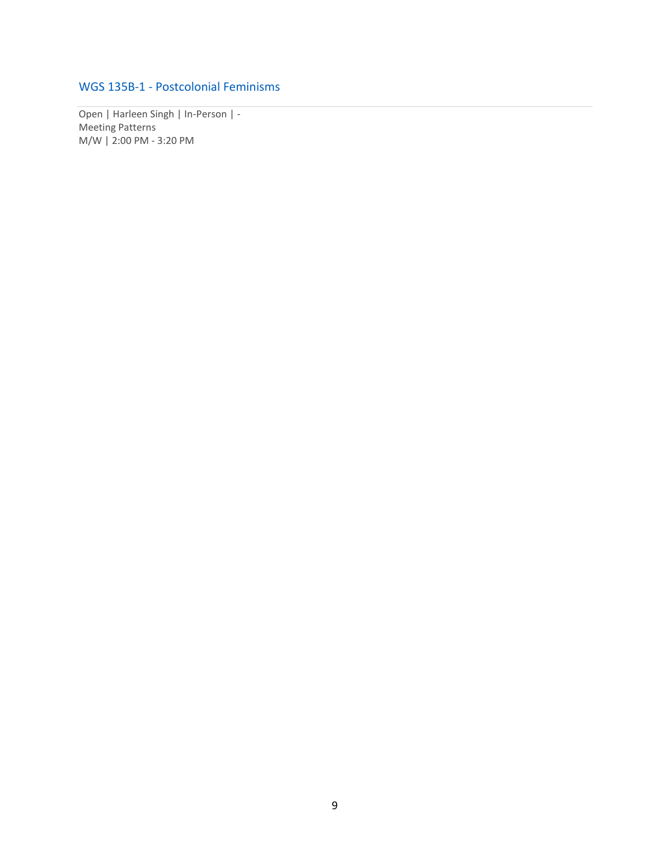# WGS 135B-1 - Postcolonial Feminisms

Open | Harleen Singh | In-Person | - Meeting Patterns M/W | 2:00 PM - 3:20 PM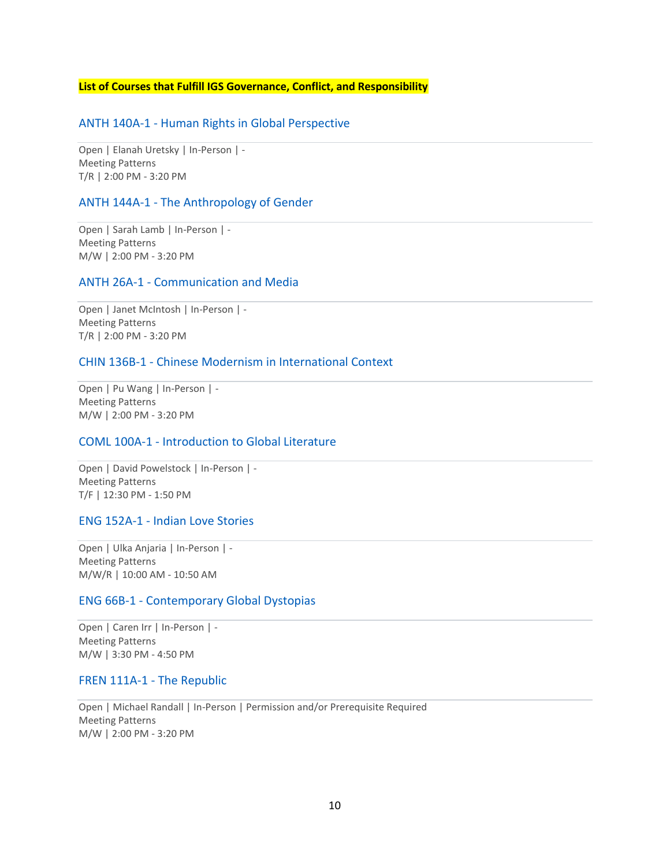## **List of Courses that Fulfill IGS Governance, Conflict, and Responsibility**

## ANTH 140A-1 - Human Rights in Global Perspective

Open | Elanah Uretsky | In-Person | - Meeting Patterns T/R | 2:00 PM - 3:20 PM

## ANTH 144A-1 - The Anthropology of Gender

Open | Sarah Lamb | In-Person | - Meeting Patterns M/W | 2:00 PM - 3:20 PM

## ANTH 26A-1 - Communication and Media

Open | Janet McIntosh | In-Person | - Meeting Patterns T/R | 2:00 PM - 3:20 PM

## CHIN 136B-1 - Chinese Modernism in International Context

Open | Pu Wang | In-Person | - Meeting Patterns M/W | 2:00 PM - 3:20 PM

## COML 100A-1 - Introduction to Global Literature

Open | David Powelstock | In-Person | - Meeting Patterns T/F | 12:30 PM - 1:50 PM

# ENG 152A-1 - Indian Love Stories

Open | Ulka Anjaria | In-Person | - Meeting Patterns M/W/R | 10:00 AM - 10:50 AM

## ENG 66B-1 - Contemporary Global Dystopias

Open | Caren Irr | In-Person | - Meeting Patterns M/W | 3:30 PM - 4:50 PM

#### FREN 111A-1 - The Republic

Open | Michael Randall | In-Person | Permission and/or Prerequisite Required Meeting Patterns M/W | 2:00 PM - 3:20 PM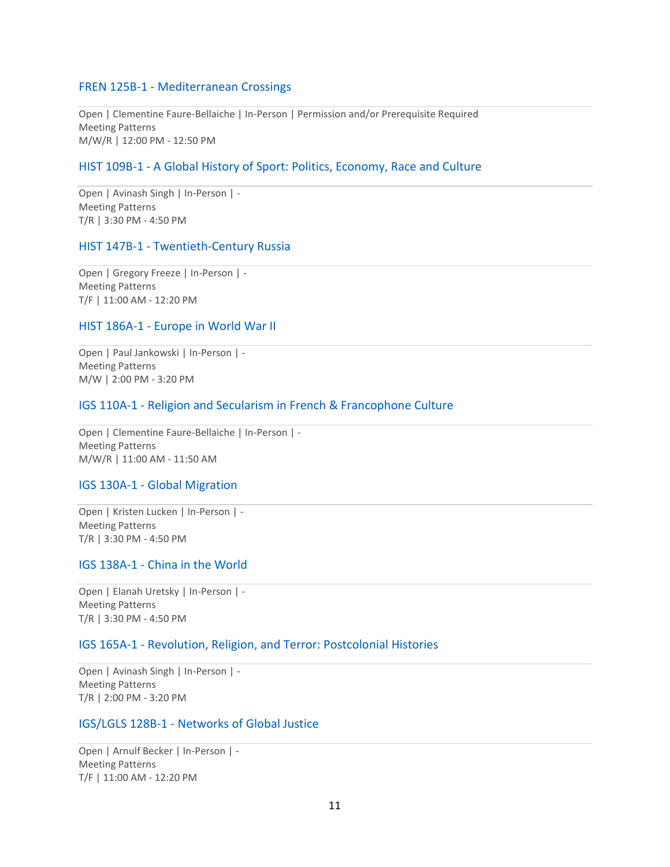# FREN 125B-1 - Mediterranean Crossings

Open | Clementine Faure-Bellaiche | In-Person | Permission and/or Prerequisite Required Meeting Patterns M/W/R | 12:00 PM - 12:50 PM

## HIST 109B-1 - A Global History of Sport: Politics, Economy, Race and Culture

Open | Avinash Singh | In-Person | - Meeting Patterns T/R | 3:30 PM - 4:50 PM

## HIST 147B-1 - Twentieth-Century Russia

Open | Gregory Freeze | In-Person | - Meeting Patterns T/F | 11:00 AM - 12:20 PM

## HIST 186A-1 - Europe in World War II

Open | Paul Jankowski | In-Person | - Meeting Patterns M/W | 2:00 PM - 3:20 PM

## IGS 110A-1 - Religion and Secularism in French & Francophone Culture

Open | Clementine Faure-Bellaiche | In-Person | - Meeting Patterns M/W/R | 11:00 AM - 11:50 AM

## IGS 130A-1 - Global Migration

Open | Kristen Lucken | In-Person | - Meeting Patterns T/R | 3:30 PM - 4:50 PM

## IGS 138A-1 - China in the World

Open | Elanah Uretsky | In-Person | - Meeting Patterns T/R | 3:30 PM - 4:50 PM

## IGS 165A-1 - Revolution, Religion, and Terror: Postcolonial Histories

Open | Avinash Singh | In-Person | - Meeting Patterns T/R | 2:00 PM - 3:20 PM

# IGS/LGLS 128B-1 - Networks of Global Justice

Open | Arnulf Becker | In-Person | - Meeting Patterns T/F | 11:00 AM - 12:20 PM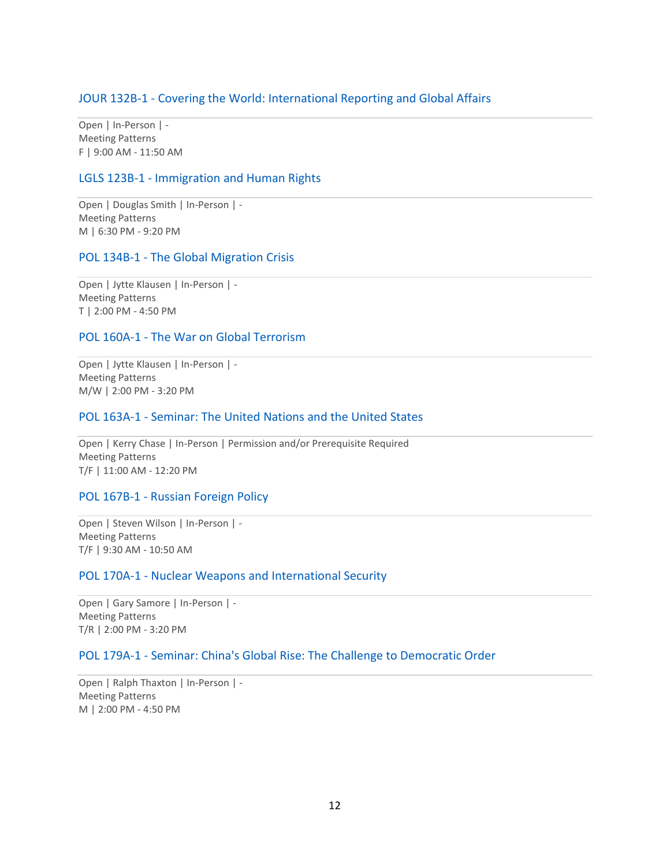# JOUR 132B-1 - Covering the World: International Reporting and Global Affairs

Open | In-Person | - Meeting Patterns F | 9:00 AM - 11:50 AM

## LGLS 123B-1 - Immigration and Human Rights

Open | Douglas Smith | In-Person | - Meeting Patterns M | 6:30 PM - 9:20 PM

## POL 134B-1 - The Global Migration Crisis

Open | Jytte Klausen | In-Person | - Meeting Patterns T | 2:00 PM - 4:50 PM

# POL 160A-1 - The War on Global Terrorism

Open | Jytte Klausen | In-Person | - Meeting Patterns M/W | 2:00 PM - 3:20 PM

# POL 163A-1 - Seminar: The United Nations and the United States

Open | Kerry Chase | In-Person | Permission and/or Prerequisite Required Meeting Patterns T/F | 11:00 AM - 12:20 PM

## POL 167B-1 - Russian Foreign Policy

Open | Steven Wilson | In-Person | - Meeting Patterns T/F | 9:30 AM - 10:50 AM

## POL 170A-1 - Nuclear Weapons and International Security

Open | Gary Samore | In-Person | - Meeting Patterns T/R | 2:00 PM - 3:20 PM

# POL 179A-1 - Seminar: China's Global Rise: The Challenge to Democratic Order

Open | Ralph Thaxton | In-Person | - Meeting Patterns M | 2:00 PM - 4:50 PM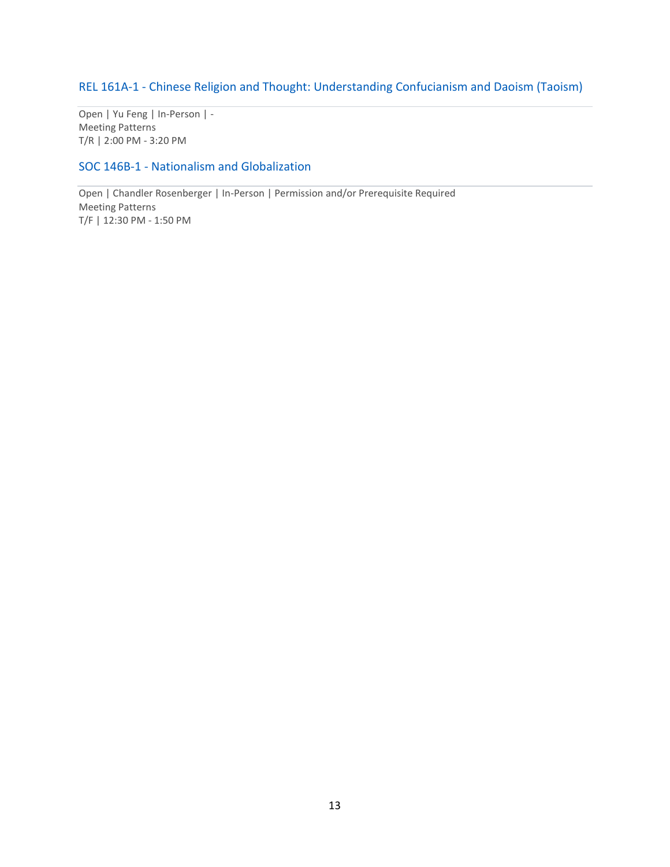# REL 161A-1 - Chinese Religion and Thought: Understanding Confucianism and Daoism (Taoism)

Open | Yu Feng | In-Person | - Meeting Patterns T/R | 2:00 PM - 3:20 PM

# SOC 146B-1 - Nationalism and Globalization

Open | Chandler Rosenberger | In-Person | Permission and/or Prerequisite Required Meeting Patterns T/F | 12:30 PM - 1:50 PM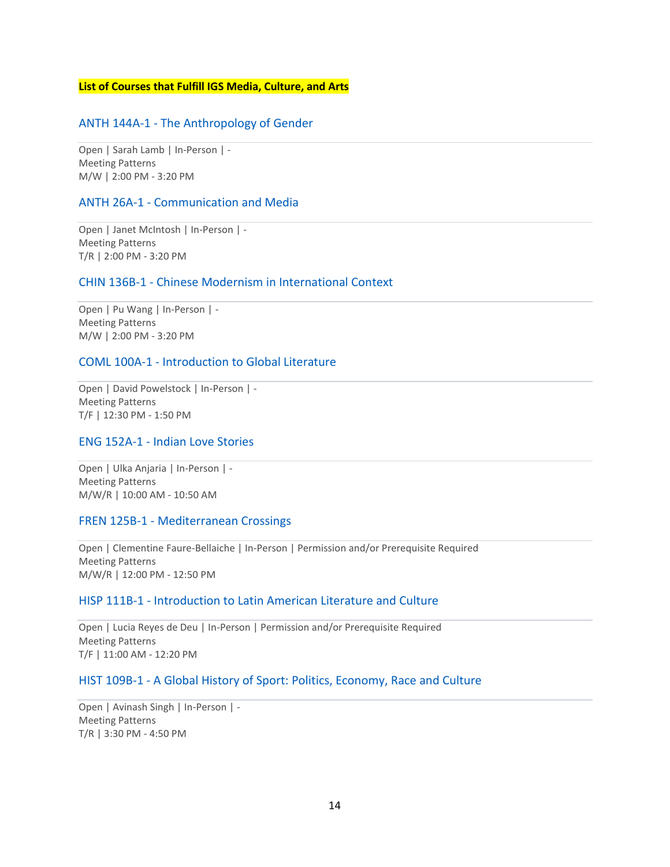## **List of Courses that Fulfill IGS Media, Culture, and Arts**

# ANTH 144A-1 - The Anthropology of Gender

Open | Sarah Lamb | In-Person | - Meeting Patterns M/W | 2:00 PM - 3:20 PM

### ANTH 26A-1 - Communication and Media

Open | Janet McIntosh | In-Person | - Meeting Patterns T/R | 2:00 PM - 3:20 PM

## CHIN 136B-1 - Chinese Modernism in International Context

Open | Pu Wang | In-Person | - Meeting Patterns M/W | 2:00 PM - 3:20 PM

## COML 100A-1 - Introduction to Global Literature

Open | David Powelstock | In-Person | - Meeting Patterns T/F | 12:30 PM - 1:50 PM

# ENG 152A-1 - Indian Love Stories

Open | Ulka Anjaria | In-Person | - Meeting Patterns M/W/R | 10:00 AM - 10:50 AM

## FREN 125B-1 - Mediterranean Crossings

Open | Clementine Faure-Bellaiche | In-Person | Permission and/or Prerequisite Required Meeting Patterns M/W/R | 12:00 PM - 12:50 PM

#### HISP 111B-1 - Introduction to Latin American Literature and Culture

Open | Lucia Reyes de Deu | In-Person | Permission and/or Prerequisite Required Meeting Patterns T/F | 11:00 AM - 12:20 PM

# HIST 109B-1 - A Global History of Sport: Politics, Economy, Race and Culture

Open | Avinash Singh | In-Person | - Meeting Patterns T/R | 3:30 PM - 4:50 PM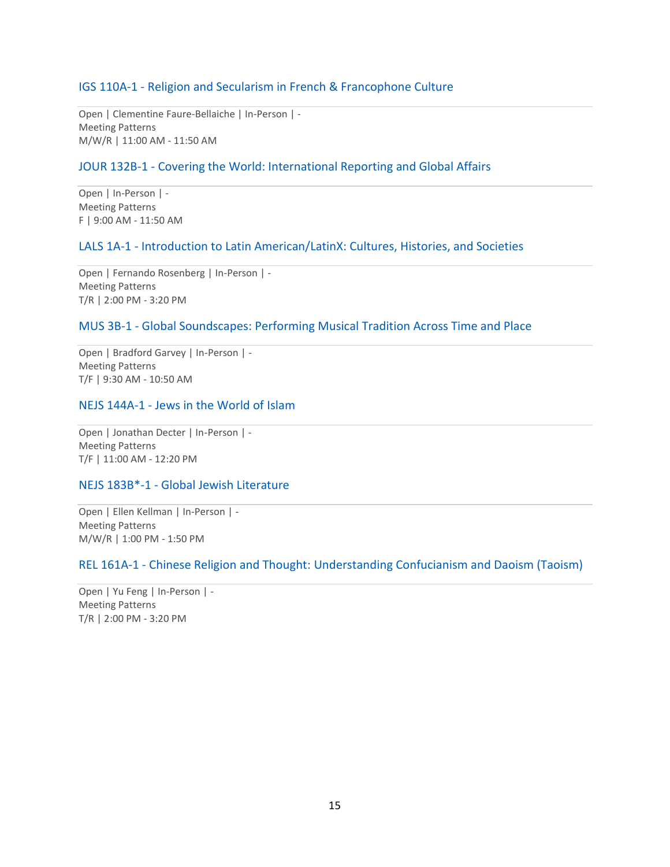# IGS 110A-1 - Religion and Secularism in French & Francophone Culture

Open | Clementine Faure-Bellaiche | In-Person | - Meeting Patterns M/W/R | 11:00 AM - 11:50 AM

# JOUR 132B-1 - Covering the World: International Reporting and Global Affairs

Open | In-Person | - Meeting Patterns F | 9:00 AM - 11:50 AM

# LALS 1A-1 - Introduction to Latin American/LatinX: Cultures, Histories, and Societies

Open | Fernando Rosenberg | In-Person | - Meeting Patterns T/R | 2:00 PM - 3:20 PM

# MUS 3B-1 - Global Soundscapes: Performing Musical Tradition Across Time and Place

Open | Bradford Garvey | In-Person | - Meeting Patterns T/F | 9:30 AM - 10:50 AM

# NEJS 144A-1 - Jews in the World of Islam

Open | Jonathan Decter | In-Person | - Meeting Patterns T/F | 11:00 AM - 12:20 PM

# NEJS 183B\*-1 - Global Jewish Literature

Open | Ellen Kellman | In-Person | - Meeting Patterns M/W/R | 1:00 PM - 1:50 PM

# REL 161A-1 - Chinese Religion and Thought: Understanding Confucianism and Daoism (Taoism)

Open | Yu Feng | In-Person | - Meeting Patterns T/R | 2:00 PM - 3:20 PM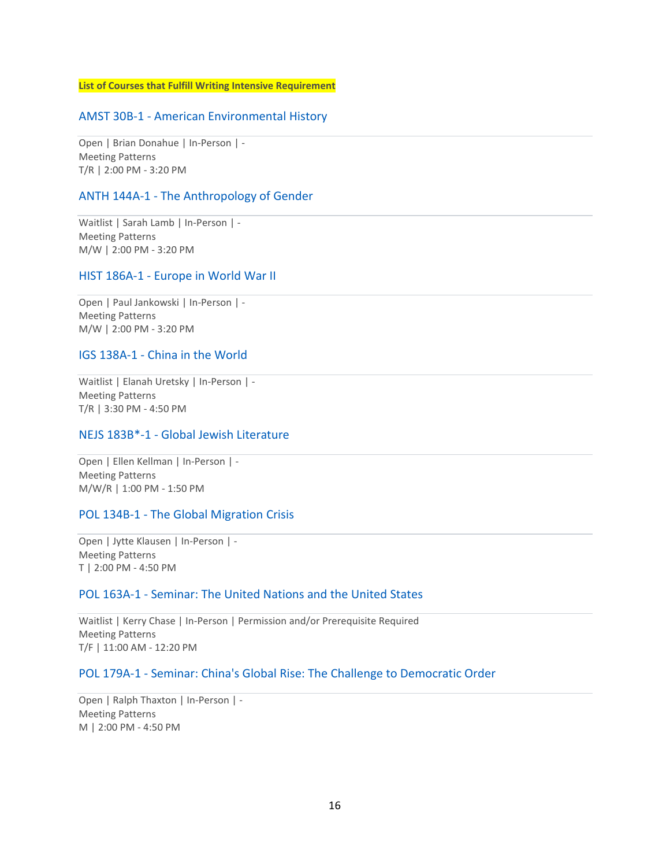**List of Courses that Fulfill Writing Intensive Requirement** 

# AMST 30B-1 - American Environmental History

Open | Brian Donahue | In-Person | - Meeting Patterns T/R | 2:00 PM - 3:20 PM

## ANTH 144A-1 - The Anthropology of Gender

Waitlist | Sarah Lamb | In-Person | - Meeting Patterns M/W | 2:00 PM - 3:20 PM

### HIST 186A-1 - Europe in World War II

Open | Paul Jankowski | In-Person | - Meeting Patterns M/W | 2:00 PM - 3:20 PM

## IGS 138A-1 - China in the World

Waitlist | Elanah Uretsky | In-Person | - Meeting Patterns T/R | 3:30 PM - 4:50 PM

## NEJS 183B\*-1 - Global Jewish Literature

Open | Ellen Kellman | In-Person | - Meeting Patterns M/W/R | 1:00 PM - 1:50 PM

## POL 134B-1 - The Global Migration Crisis

Open | Jytte Klausen | In-Person | - Meeting Patterns T | 2:00 PM - 4:50 PM

## POL 163A-1 - Seminar: The United Nations and the United States

Waitlist | Kerry Chase | In-Person | Permission and/or Prerequisite Required Meeting Patterns T/F | 11:00 AM - 12:20 PM

# POL 179A-1 - Seminar: China's Global Rise: The Challenge to Democratic Order

Open | Ralph Thaxton | In-Person | - Meeting Patterns M | 2:00 PM - 4:50 PM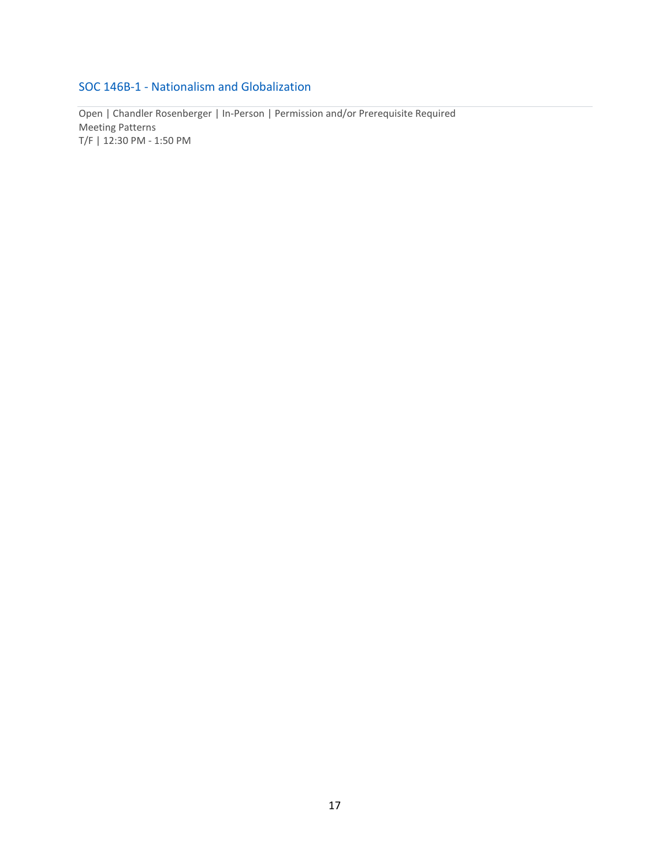# SOC 146B-1 - Nationalism and Globalization

Open | Chandler Rosenberger | In-Person | Permission and/or Prerequisite Required Meeting Patterns T/F | 12:30 PM - 1:50 PM